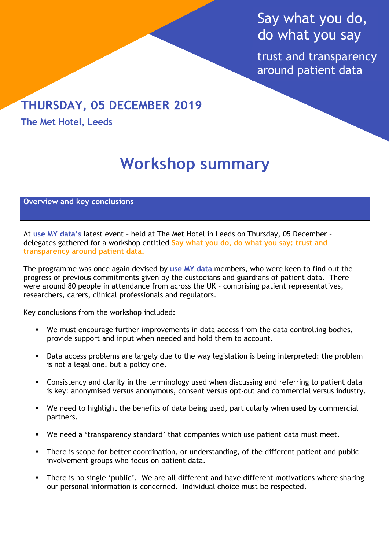# Say what you do, do what you say

trust and transparency around patient data

# **THURSDAY, 05 DECEMBER 2019**

**The Met Hotel, Leeds**

# **Workshop summary**

#### **Overview and key conclusions**

At **use MY data's** latest event – held at The Met Hotel in Leeds on Thursday, 05 December – delegates gathered for a workshop entitled **Say what you do, do what you say: trust and transparency around patient data.**

The programme was once again devised by **use MY data** members, who were keen to find out the progress of previous commitments given by the custodians and guardians of patient data. There were around 80 people in attendance from across the UK – comprising patient representatives, researchers, carers, clinical professionals and regulators.

Key conclusions from the workshop included:

- We must encourage further improvements in data access from the data controlling bodies, provide support and input when needed and hold them to account.
- Data access problems are largely due to the way legislation is being interpreted: the problem is not a legal one, but a policy one.
- Consistency and clarity in the terminology used when discussing and referring to patient data is key: anonymised versus anonymous, consent versus opt-out and commercial versus industry.
- We need to highlight the benefits of data being used, particularly when used by commercial partners.
- We need a 'transparency standard' that companies which use patient data must meet.
- There is scope for better coordination, or understanding, of the different patient and public involvement groups who focus on patient data.
- There is no single 'public'. We are all different and have different motivations where sharing our personal information is concerned. Individual choice must be respected.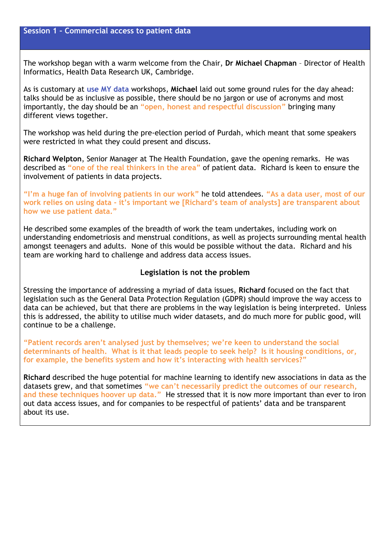The workshop began with a warm welcome from the Chair, **Dr Michael Chapman** – Director of Health Informatics, Health Data Research UK, Cambridge.

As is customary at **use MY data** workshops, **Michael** laid out some ground rules for the day ahead: talks should be as inclusive as possible, there should be no jargon or use of acronyms and most importantly, the day should be an **"open, honest and respectful discussion"** bringing many different views together.

The workshop was held during the pre-election period of Purdah, which meant that some speakers were restricted in what they could present and discuss.

**Richard Welpton**, Senior Manager at The Health Foundation, gave the opening remarks. He was described as **"one of the real thinkers in the area"** of patient data. Richard is keen to ensure the involvement of patients in data projects.

**"I'm a huge fan of involving patients in our work"** he told attendees. **"As a data user, most of our work relies on using data - it's important we [Richard's team of analysts] are transparent about how we use patient data."**

He described some examples of the breadth of work the team undertakes, including work on understanding endometriosis and menstrual conditions, as well as projects surrounding mental health amongst teenagers and adults. None of this would be possible without the data. Richard and his team are working hard to challenge and address data access issues.

#### **Legislation is not the problem**

Stressing the importance of addressing a myriad of data issues, **Richard** focused on the fact that legislation such as the General Data Protection Regulation (GDPR) should improve the way access to data can be achieved, but that there are problems in the way legislation is being interpreted. Unless this is addressed, the ability to utilise much wider datasets, and do much more for public good, will continue to be a challenge.

**"Patient records aren't analysed just by themselves; we're keen to understand the social determinants of health. What is it that leads people to seek help? Is it housing conditions, or, for example, the benefits system and how it's interacting with health services?"**

**Richard** described the huge potential for machine learning to identify new associations in data as the datasets grew, and that sometimes **"we can't necessarily predict the outcomes of our research, and these techniques hoover up data."** He stressed that it is now more important than ever to iron out data access issues, and for companies to be respectful of patients' data and be transparent about its use.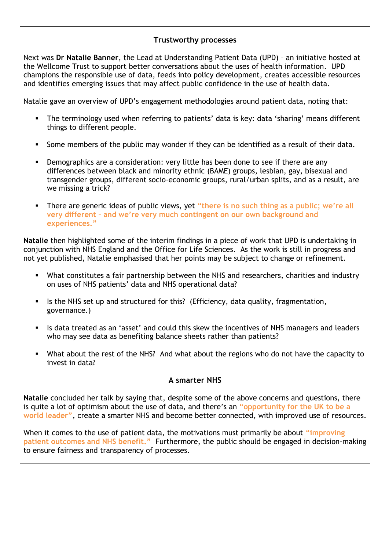## **Trustworthy processes**

Next was **Dr Natalie Banner**, the Lead at Understanding Patient Data (UPD) – an initiative hosted at the Wellcome Trust to support better conversations about the uses of health information. UPD champions the responsible use of data, feeds into policy development, creates accessible resources and identifies emerging issues that may affect public confidence in the use of health data.

Natalie gave an overview of UPD's engagement methodologies around patient data, noting that:

- The terminology used when referring to patients' data is key: data 'sharing' means different things to different people.
- Some members of the public may wonder if they can be identified as a result of their data.
- **•** Demographics are a consideration: very little has been done to see if there are any differences between black and minority ethnic (BAME) groups, lesbian, gay, bisexual and transgender groups, different socio-economic groups, rural/urban splits, and as a result, are we missing a trick?
- There are generic ideas of public views, yet **"there is no such thing as a public; we're all very different – and we're very much contingent on our own background and experiences."**

**Natalie** then highlighted some of the interim findings in a piece of work that UPD is undertaking in conjunction with NHS England and the Office for Life Sciences. As the work is still in progress and not yet published, Natalie emphasised that her points may be subject to change or refinement.

- What constitutes a fair partnership between the NHS and researchers, charities and industry on uses of NHS patients' data and NHS operational data?
- Is the NHS set up and structured for this? (Efficiency, data quality, fragmentation, governance.)
- **EXTED 15 Is data treated as an 'asset' and could this skew the incentives of NHS managers and leaders 4** who may see data as benefiting balance sheets rather than patients?
- What about the rest of the NHS? And what about the regions who do not have the capacity to invest in data?

#### **A smarter NHS**

**Natalie** concluded her talk by saying that, despite some of the above concerns and questions, there is quite a lot of optimism about the use of data, and there's an **"opportunity for the UK to be a world leader"**, create a smarter NHS and become better connected, with improved use of resources.

When it comes to the use of patient data, the motivations must primarily be about **"improving patient outcomes and NHS benefit."** Furthermore, the public should be engaged in decision-making to ensure fairness and transparency of processes.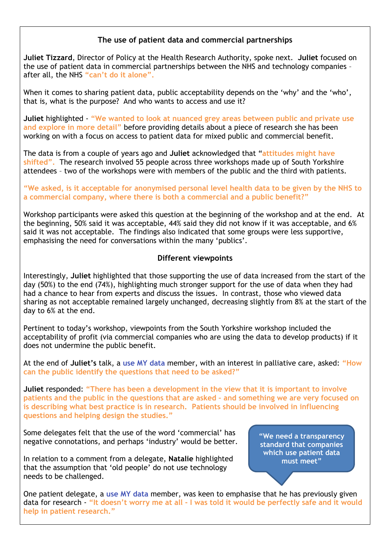# **The use of patient data and commercial partnerships**

**Juliet Tizzard**, Director of Policy at the Health Research Authority, spoke next. **Juliet** focused on the use of patient data in commercial partnerships between the NHS and technology companies – after all, the NHS **"can't do it alone".**

When it comes to sharing patient data, public acceptability depends on the 'why' and the 'who', that is, what is the purpose? And who wants to access and use it?

**Juliet** highlighted - **"We wanted to look at nuanced grey areas between public and private use and explore in more detail"** before providing details about a piece of research she has been working on with a focus on access to patient data for mixed public and commercial benefit.

The data is from a couple of years ago and **Juliet** acknowledged that "**attitudes might have shifted".** The research involved 55 people across three workshops made up of South Yorkshire attendees – two of the workshops were with members of the public and the third with patients.

#### **"We asked, is it acceptable for anonymised personal level health data to be given by the NHS to a commercial company, where there is both a commercial and a public benefit?"**

Workshop participants were asked this question at the beginning of the workshop and at the end. At the beginning, 50% said it was acceptable, 44% said they did not know if it was acceptable, and 6% said it was not acceptable. The findings also indicated that some groups were less supportive, emphasising the need for conversations within the many 'publics'.

## **Different viewpoints**

Interestingly, **Juliet** highlighted that those supporting the use of data increased from the start of the day (50%) to the end (74%), highlighting much stronger support for the use of data when they had had a chance to hear from experts and discuss the issues. In contrast, those who viewed data sharing as not acceptable remained largely unchanged, decreasing slightly from 8% at the start of the day to 6% at the end.

Pertinent to today's workshop, viewpoints from the South Yorkshire workshop included the acceptability of profit (via commercial companies who are using the data to develop products) if it does not undermine the public benefit.

At the end of **Juliet's** talk, a **use MY data** member, with an interest in palliative care, asked: **"How can the public identify the questions that need to be asked?"**

**Juliet** responded: **"There has been a development in the view that it is important to involve patients and the public in the questions that are asked – and something we are very focused on is describing what best practice is in research. Patients should be involved in influencing questions and helping design the studies."**

Some delegates felt that the use of the word 'commercial' has negative connotations, and perhaps 'industry' would be better.

In relation to a comment from a delegate, **Natalie** highlighted that the assumption that 'old people' do not use technology needs to be challenged.

**"We need a transparency standard that companies which use patient data must meet"**

One patient delegate, a **use MY data** member, was keen to emphasise that he has previously given data for research - **"It doesn't worry me at all - I was told it would be perfectly safe and it would help in patient research."**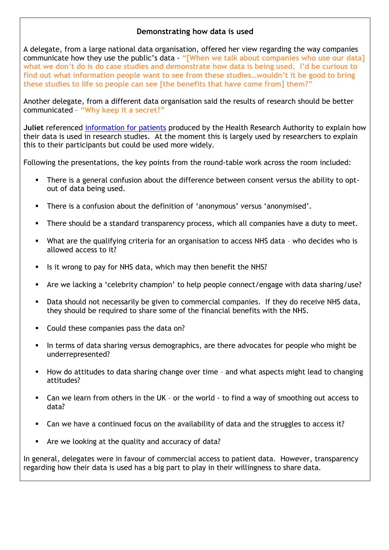# **Demonstrating how data is used**

A delegate, from a large national data organisation, offered her view regarding the way companies communicate how they use the public's data - **"[When we talk about companies who use our data] what we don't do is do case studies and demonstrate how data is being used. I'd be curious to find out what information people want to see from these studies…wouldn't it be good to bring these studies to life so people can see [the benefits that have come from] them?"**

Another delegate, from a different data organisation said the results of research should be better communicated – **"Why keep it a secret?"**

**Juliet** referenced [information for patients](https://www.hra.nhs.uk/planning-and-improving-research/policies-standards-legislation/data-protection-and-information-governance/gdpr-guidance/templates/template-wording-for-generic-information-document/) produced by the Health Research Authority to explain how their data is used in research studies. At the moment this is largely used by researchers to explain this to their participants but could be used more widely.

Following the presentations, the key points from the round-table work across the room included:

- There is a general confusion about the difference between consent versus the ability to optout of data being used.
- There is a confusion about the definition of 'anonymous' versus 'anonymised'.
- There should be a standard transparency process, which all companies have a duty to meet.
- What are the qualifying criteria for an organisation to access NHS data who decides who is allowed access to it?
- Is it wrong to pay for NHS data, which may then benefit the NHS?
- Are we lacking a 'celebrity champion' to help people connect/engage with data sharing/use?
- Data should not necessarily be given to commercial companies. If they do receive NHS data, they should be required to share some of the financial benefits with the NHS.
- Could these companies pass the data on?
- In terms of data sharing versus demographics, are there advocates for people who might be underrepresented?
- How do attitudes to data sharing change over time and what aspects might lead to changing attitudes?
- Can we learn from others in the UK or the world  $-$  to find a way of smoothing out access to data?
- Can we have a continued focus on the availability of data and the struggles to access it?
- Are we looking at the quality and accuracy of data?

In general, delegates were in favour of commercial access to patient data. However, transparency regarding how their data is used has a big part to play in their willingness to share data.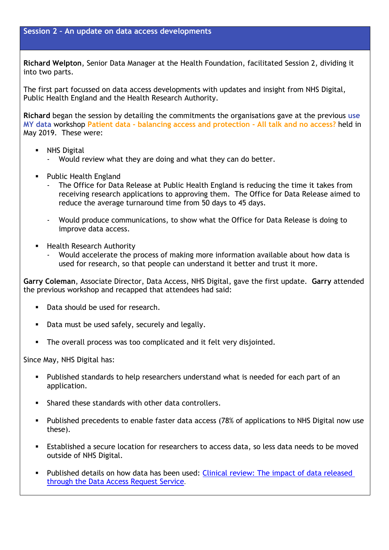**Session 2 – An update on data access developments**

**Richard Welpton**, Senior Data Manager at the Health Foundation, facilitated Session 2, dividing it into two parts.

The first part focussed on data access developments with updates and insight from NHS Digital, Public Health England and the Health Research Authority.

**Richard** began the session by detailing the commitments the organisations gave at the previous **use MY data** workshop **Patient data - balancing access and protection - All talk and no access?** held in May 2019. These were:

- **NHS Digital** 
	- Would review what they are doing and what they can do better.
- **Public Health England** 
	- The Office for Data Release at Public Health England is reducing the time it takes from receiving research applications to approving them. The Office for Data Release aimed to reduce the average turnaround time from 50 days to 45 days.
	- Would produce communications, to show what the Office for Data Release is doing to improve data access.
- **Health Research Authority** 
	- Would accelerate the process of making more information available about how data is used for research, so that people can understand it better and trust it more.

**Garry Coleman**, Associate Director, Data Access, NHS Digital, gave the first update. **Garry** attended the previous workshop and recapped that attendees had said:

- Data should be used for research.
- Data must be used safely, securely and legally.
- The overall process was too complicated and it felt very disjointed.

Since May, NHS Digital has:

- Published standards to help researchers understand what is needed for each part of an application.
- Shared these standards with other data controllers.
- Published precedents to enable faster data access (78% of applications to NHS Digital now use these).
- Established a secure location for researchers to access data, so less data needs to be moved outside of NHS Digital.
- Published details on how data has been used: Clinical review: The impact of data released [through the Data Access Request Service](https://digital.nhs.uk/data-and-information/data-insights-and-statistics/dars-clinical-review).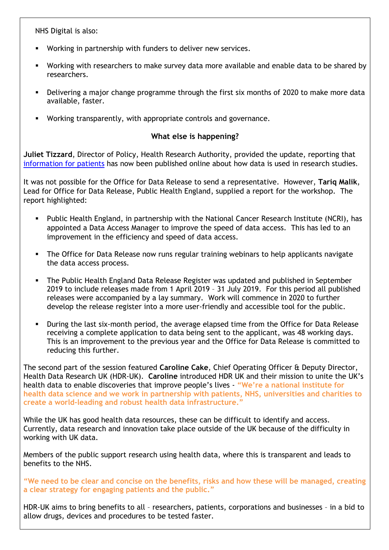NHS Digital is also:

- Working in partnership with funders to deliver new services.
- Working with researchers to make survey data more available and enable data to be shared by researchers.
- Delivering a major change programme through the first six months of 2020 to make more data available, faster.
- Working transparently, with appropriate controls and governance.

# **What else is happening?**

**Juliet Tizzard**, Director of Policy, Health Research Authority, provided the update, reporting that [information for patients](https://www.hra.nhs.uk/planning-and-improving-research/policies-standards-legislation/data-protection-and-information-governance/gdpr-guidance/templates/template-wording-for-generic-information-document/) has now been published online about how data is used in research studies.

It was not possible for the Office for Data Release to send a representative. However, **Tariq Malik**, Lead for Office for Data Release, Public Health England, supplied a report for the workshop. The report highlighted:

- Public Health England, in partnership with the National Cancer Research Institute (NCRI), has appointed a Data Access Manager to improve the speed of data access. This has led to an improvement in the efficiency and speed of data access.
- The Office for Data Release now runs regular training webinars to help applicants navigate the data access process.
- The Public Health England Data Release Register was updated and published in September 2019 to include releases made from 1 April 2019 – 31 July 2019. For this period all published releases were accompanied by a lay summary. Work will commence in 2020 to further develop the release register into a more user-friendly and accessible tool for the public.
- During the last six-month period, the average elapsed time from the Office for Data Release receiving a complete application to data being sent to the applicant, was 48 working days. This is an improvement to the previous year and the Office for Data Release is committed to reducing this further.

The second part of the session featured **Caroline Cake**, Chief Operating Officer & Deputy Director, Health Data Research UK (HDR-UK). **Caroline** introduced HDR UK and their mission to unite the UK's health data to enable discoveries that improve people's lives - **"We're a national institute for health data science and we work in partnership with patients, NHS, universities and charities to create a world-leading and robust health data infrastructure."**

While the UK has good health data resources, these can be difficult to identify and access. Currently, data research and innovation take place outside of the UK because of the difficulty in working with UK data.

Members of the public support research using health data, where this is transparent and leads to benefits to the NHS.

**"We need to be clear and concise on the benefits, risks and how these will be managed, creating a clear strategy for engaging patients and the public."** 

HDR-UK aims to bring benefits to all – researchers, patients, corporations and businesses – in a bid to allow drugs, devices and procedures to be tested faster.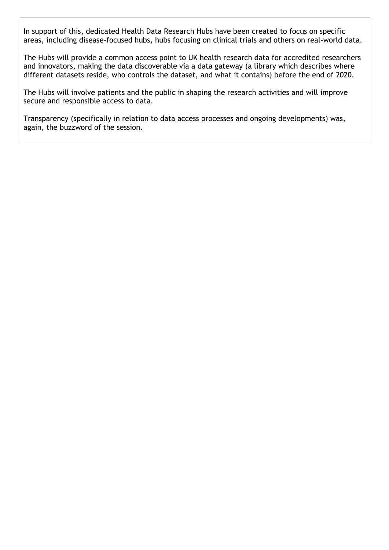In support of this, dedicated Health Data Research Hubs have been created to focus on specific areas, including disease-focused hubs, hubs focusing on clinical trials and others on real-world data.

The Hubs will provide a common access point to UK health research data for accredited researchers and innovators, making the data discoverable via a data gateway (a library which describes where different datasets reside, who controls the dataset, and what it contains) before the end of 2020.

The Hubs will involve patients and the public in shaping the research activities and will improve secure and responsible access to data.

Transparency (specifically in relation to data access processes and ongoing developments) was, again, the buzzword of the session.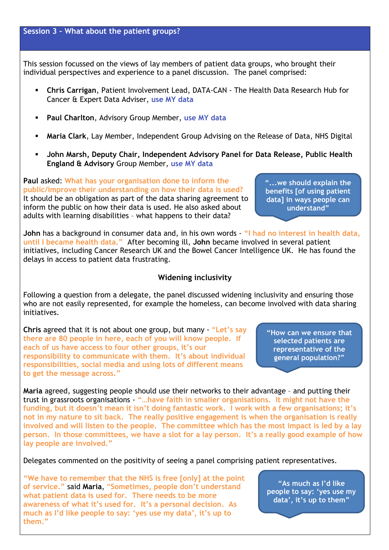This session focussed on the views of lay members of patient data groups, who brought their individual perspectives and experience to a panel discussion. The panel comprised:

- **Chris Carrigan**, Patient Involvement Lead, DATA-CAN The Health Data Research Hub for Cancer & Expert Data Adviser, **use MY data**
- **Paul Charlton, Advisory Group Member, use MY data**
- **Maria Clark**, Lay Member, Independent Group Advising on the Release of Data, NHS Digital
- **John Marsh, Deputy Chair, Independent Advisory Panel for Data Release, Public Health England & Advisory** Group Member, **use MY data**

**Paul** asked: **What has your organisation done to inform the public/improve their understanding on how their data is used?**  It should be an obligation as part of the data sharing agreement to inform the public on how their data is used. He also asked about adults with learning disabilities – what happens to their data?

**"...we should explain the benefits [of using patient data] in ways people can understand"**

**John** has a background in consumer data and, in his own words - **"I had no interest in health data, until I became health data."** After becoming ill, **John** became involved in several patient initiatives, including Cancer Research UK and the Bowel Cancer Intelligence UK. He has found the delays in access to patient data frustrating.

#### **Widening inclusivity**

Following a question from a delegate, the panel discussed widening inclusivity and ensuring those who are not easily represented, for example the homeless, can become involved with data sharing initiatives.

**Chris** agreed that it is not about one group, but many - "**Let's say there are 80 people in here, each of you will know people. If each of us have access to four other groups, it's our responsibility to communicate with them. It's about individual responsibilities, social media and using lots of different means to get the message across."**

**"How can we ensure that selected patients are representative of the general population?"**

**Maria** agreed, suggesting people should use their networks to their advantage – and putting their trust in grassroots organisations - **"…have faith in smaller organisations. It might not have the funding, but it doesn't mean it isn't doing fantastic work. I work with a few organisations; it's not in my nature to sit back. The really positive engagement is when the organisation is really involved and will listen to the people. The committee which has the most impact is led by a lay person. In those committees, we have a slot for a lay person. It's a really good example of how lay people are involved."**

Delegates commented on the positivity of seeing a panel comprising patient representatives.

**"We have to remember that the NHS is free [only] at the point of service."** said **Maria**, "**Sometimes, people don't understand what patient data is used for. There needs to be more awareness of what it's used for. It's a personal decision. As much as I'd like people to say: 'yes use my data', it's up to them."**

**"As much as I'd like people to say: 'yes use my data', it's up to them"**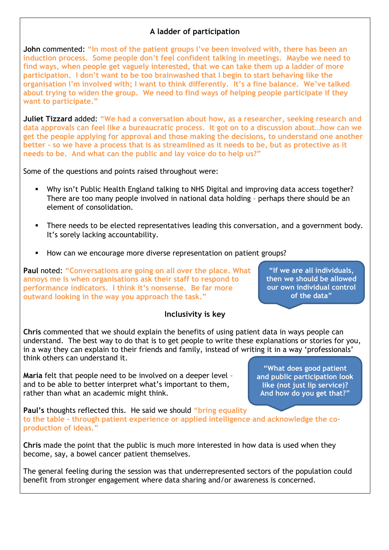# **A ladder of participation**

**John** commented: **"In most of the patient groups I've been involved with, there has been an induction process. Some people don't feel confident talking in meetings. Maybe we need to find ways, when people get vaguely interested, that we can take them up a ladder of more participation. I don't want to be too brainwashed that I begin to start behaving like the organisation I'm involved with; I want to think differently. It's a fine balance. We've talked about trying to widen the group. We need to find ways of helping people participate if they want to participate."**

**Juliet Tizzard** added: **"We had a conversation about how, as a researcher, seeking research and data approvals can feel like a bureaucratic process. It got on to a discussion about…how can we get the people applying for approval and those making the decisions, to understand one another better – so we have a process that is as streamlined as it needs to be, but as protective as it needs to be. And what can the public and lay voice do to help us?"**

Some of the questions and points raised throughout were:

- Why isn't Public Health England talking to NHS Digital and improving data access together? There are too many people involved in national data holding – perhaps there should be an element of consolidation.
- There needs to be elected representatives leading this conversation, and a government body. It's sorely lacking accountability.
- How can we encourage more diverse representation on patient groups?

**Paul** noted: **"Conversations are going on all over the place. What annoys me is when organisations ask their staff to respond to performance indicators. I think it's nonsense. Be far more outward looking in the way you approach the task."**

#### **Inclusivity is key**

**Chris** commented that we should explain the benefits of using patient data in ways people can understand. The best way to do that is to get people to write these explanations or stories for you, in a way they can explain to their friends and family, instead of writing it in a way 'professionals' think others can understand it.

**Maria** felt that people need to be involved on a deeper level – and to be able to better interpret what's important to them, rather than what an academic might think.

**"What does good patient and public participation look like (not just lip service)? And how do you get that?"**

**Paul's** thoughts reflected this. He said we should **"bring equality to the table – through patient experience or applied intelligence and acknowledge the coproduction of ideas."**

**Chris** made the point that the public is much more interested in how data is used when they become, say, a bowel cancer patient themselves.

The general feeling during the session was that underrepresented sectors of the population could benefit from stronger engagement where data sharing and/or awareness is concerned.

**"If we are all individuals, then we should be allowed our own individual control of the data"**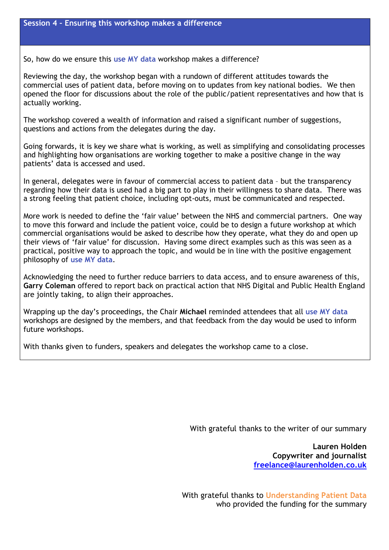So, how do we ensure this **use MY data** workshop makes a difference?

Reviewing the day, the workshop began with a rundown of different attitudes towards the commercial uses of patient data, before moving on to updates from key national bodies. We then opened the floor for discussions about the role of the public/patient representatives and how that is actually working.

The workshop covered a wealth of information and raised a significant number of suggestions, questions and actions from the delegates during the day.

Going forwards, it is key we share what is working, as well as simplifying and consolidating processes and highlighting how organisations are working together to make a positive change in the way patients' data is accessed and used.

In general, delegates were in favour of commercial access to patient data – but the transparency regarding how their data is used had a big part to play in their willingness to share data. There was a strong feeling that patient choice, including opt-outs, must be communicated and respected.

More work is needed to define the 'fair value' between the NHS and commercial partners. One way to move this forward and include the patient voice, could be to design a future workshop at which commercial organisations would be asked to describe how they operate, what they do and open up their views of 'fair value' for discussion. Having some direct examples such as this was seen as a practical, positive way to approach the topic, and would be in line with the positive engagement philosophy of **use MY data**.

Acknowledging the need to further reduce barriers to data access, and to ensure awareness of this, **Garry Coleman** offered to report back on practical action that NHS Digital and Public Health England are jointly taking, to align their approaches.

Wrapping up the day's proceedings, the Chair **Michael** reminded attendees that all **use MY data** workshops are designed by the members, and that feedback from the day would be used to inform future workshops.

With thanks given to funders, speakers and delegates the workshop came to a close.

With grateful thanks to the writer of our summary

**Lauren Holden Copywriter and journalist freelance@laurenholden.co.uk**

With grateful thanks to **Understanding Patient Data** who provided the funding for the summary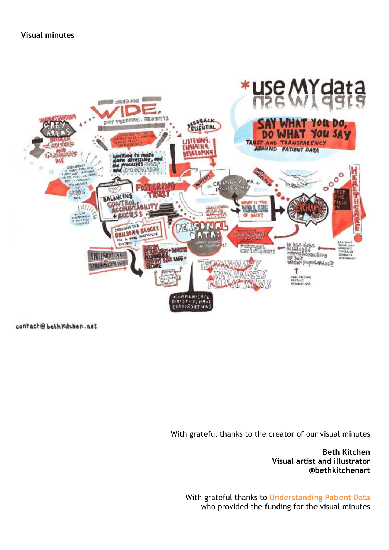**Visual minutes**



contact@bethKirchen.net

With grateful thanks to the creator of our visual minutes

**Beth Kitchen Visual artist and illustrator @bethkitchenart**

With grateful thanks to **Understanding Patient Data** who provided the funding for the visual minutes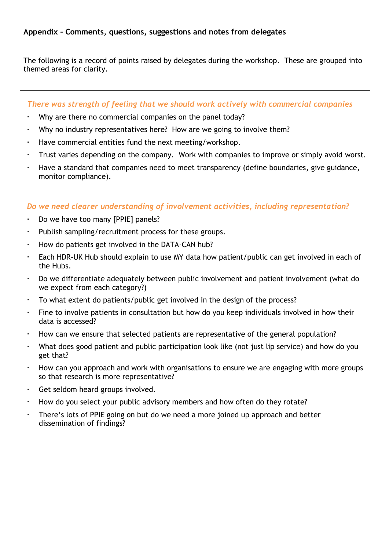## **Appendix – Comments, questions, suggestions and notes from delegates**

The following is a record of points raised by delegates during the workshop. These are grouped into themed areas for clarity.

#### *There was strength of feeling that we should work actively with commercial companies*

- Why are there no commercial companies on the panel today?
- Why no industry representatives here? How are we going to involve them?
- Have commercial entities fund the next meeting/workshop.
- Trust varies depending on the company. Work with companies to improve or simply avoid worst.
- Have a standard that companies need to meet transparency (define boundaries, give guidance, monitor compliance).

#### *Do we need clearer understanding of involvement activities, including representation?*

- Do we have too many [PPIE] panels?
- Publish sampling/recruitment process for these groups.
- How do patients get involved in the DATA-CAN hub?
- Each HDR-UK Hub should explain to use MY data how patient/public can get involved in each of the Hubs.
- Do we differentiate adequately between public involvement and patient involvement (what do we expect from each category?)
- To what extent do patients/public get involved in the design of the process?
- Fine to involve patients in consultation but how do you keep individuals involved in how their data is accessed?
- How can we ensure that selected patients are representative of the general population?
- What does good patient and public participation look like (not just lip service) and how do you get that?
- How can you approach and work with organisations to ensure we are engaging with more groups so that research is more representative?
- Get seldom heard groups involved.
- How do you select your public advisory members and how often do they rotate?
- There's lots of PPIE going on but do we need a more joined up approach and better dissemination of findings?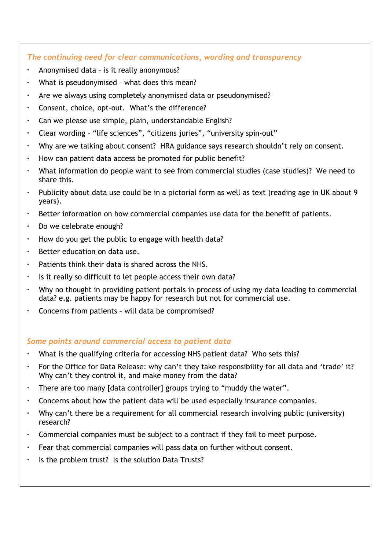# *The continuing need for clear communications, wording and transparency*

- Anonymised data is it really anonymous?
- What is pseudonymised what does this mean?
- Are we always using completely anonymised data or pseudonymised?
- Consent, choice, opt-out. What's the difference?
- Can we please use simple, plain, understandable English?
- Clear wording "life sciences", "citizens juries", "university spin-out"
- Why are we talking about consent? HRA guidance says research shouldn't rely on consent.
- How can patient data access be promoted for public benefit?
- What information do people want to see from commercial studies (case studies)? We need to share this.
- Publicity about data use could be in a pictorial form as well as text (reading age in UK about 9 years).
- Better information on how commercial companies use data for the benefit of patients.
- Do we celebrate enough?
- How do you get the public to engage with health data?
- Better education on data use.
- Patients think their data is shared across the NHS.
- Is it really so difficult to let people access their own data?
- Why no thought in providing patient portals in process of using my data leading to commercial data? e.g. patients may be happy for research but not for commercial use.
- Concerns from patients will data be compromised?

#### *Some points around commercial access to patient data*

- What is the qualifying criteria for accessing NHS patient data? Who sets this?
- For the Office for Data Release: why can't they take responsibility for all data and 'trade' it? Why can't they control it, and make money from the data?
- There are too many [data controller] groups trying to "muddy the water".
- Concerns about how the patient data will be used especially insurance companies.
- Why can't there be a requirement for all commercial research involving public (university) research?
- Commercial companies must be subject to a contract if they fail to meet purpose.
- Fear that commercial companies will pass data on further without consent.
- In Its the problem trust? Is the solution Data Trusts?